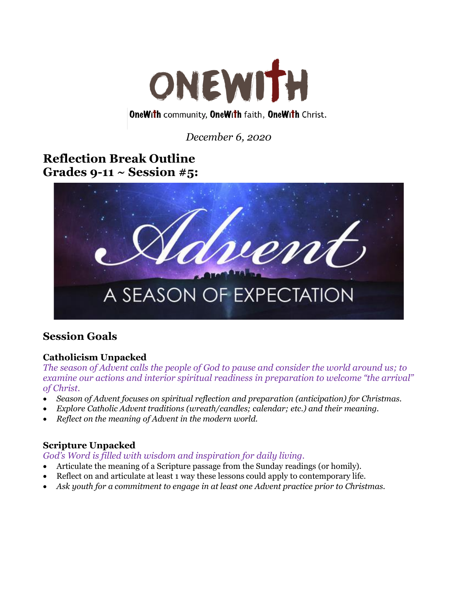

#### **OneWith community, OneWith faith, OneWith Christ.**

*December 6, 2020*

# **Reflection Break Outline Grades 9-11 ~ Session #5:**



# **Session Goals**

## **Catholicism Unpacked**

*The season of Advent calls the people of God to pause and consider the world around us; to examine our actions and interior spiritual readiness in preparation to welcome "the arrival" of Christ.* 

- *Season of Advent focuses on spiritual reflection and preparation (anticipation) for Christmas.*
- *Explore Catholic Advent traditions (wreath/candles; calendar; etc.) and their meaning.*
- *Reflect on the meaning of Advent in the modern world.*

## **Scripture Unpacked**

#### *God's Word is filled with wisdom and inspiration for daily living.*

- Articulate the meaning of a Scripture passage from the Sunday readings (or homily).
- Reflect on and articulate at least 1 way these lessons could apply to contemporary life.
- *Ask youth for a commitment to engage in at least one Advent practice prior to Christmas.*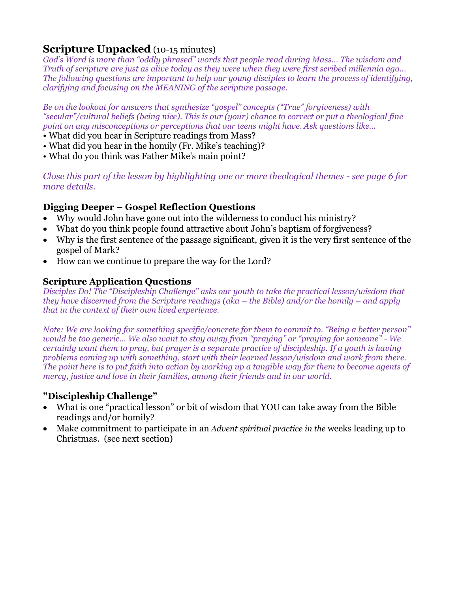## **Scripture Unpacked** (10-15 minutes)

*God's Word is more than "oddly phrased" words that people read during Mass... The wisdom and Truth of scripture are just as alive today as they were when they were first scribed millennia ago... The following questions are important to help our young disciples to learn the process of identifying, clarifying and focusing on the MEANING of the scripture passage.* 

*Be on the lookout for answers that synthesize "gospel" concepts ("True" forgiveness) with "secular"/cultural beliefs (being nice). This is our (your) chance to correct or put a theological fine point on any misconceptions or perceptions that our teens might have. Ask questions like...* 

- What did you hear in Scripture readings from Mass?
- What did you hear in the homily (Fr. Mike's teaching)?
- What do you think was Father Mike's main point?

*Close this part of the lesson by highlighting one or more theological themes - see page 6 for more details.*

#### **Digging Deeper – Gospel Reflection Questions**

- Why would John have gone out into the wilderness to conduct his ministry?
- What do you think people found attractive about John's baptism of forgiveness?
- Why is the first sentence of the passage significant, given it is the very first sentence of the gospel of Mark?
- How can we continue to prepare the way for the Lord?

#### **Scripture Application Questions**

*Disciples Do! The "Discipleship Challenge" asks our youth to take the practical lesson/wisdom that they have discerned from the Scripture readings (aka – the Bible) and/or the homily – and apply that in the context of their own lived experience.* 

*Note: We are looking for something specific/concrete for them to commit to. "Being a better person" would be too generic... We also want to stay away from "praying" or "praying for someone" - We certainly want them to pray, but prayer is a separate practice of discipleship. If a youth is having problems coming up with something, start with their learned lesson/wisdom and work from there. The point here is to put faith into action by working up a tangible way for them to become agents of mercy, justice and love in their families, among their friends and in our world.*

#### **"Discipleship Challenge"**

- What is one "practical lesson" or bit of wisdom that YOU can take away from the Bible readings and/or homily?
- Make commitment to participate in an *Advent spiritual practice in the* weeks leading up to Christmas. (see next section)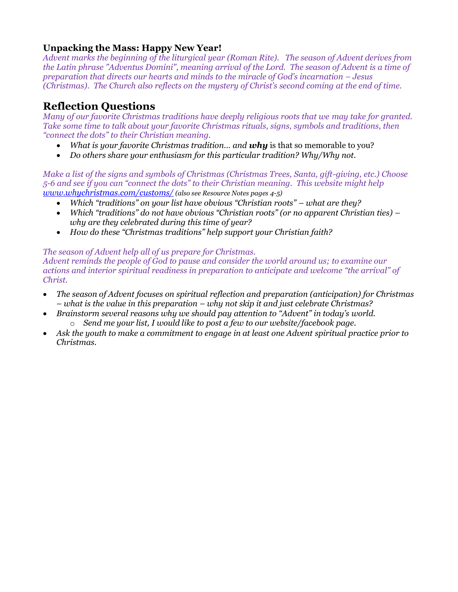#### **Unpacking the Mass: Happy New Year!**

*Advent marks the beginning of the liturgical year (Roman Rite). The season of Advent derives from the Latin phrase "Adventus Domini", meaning arrival of the Lord. The season of Advent is a time of preparation that directs our hearts and minds to the miracle of God's incarnation – Jesus (Christmas). The Church also reflects on the mystery of Christ's second coming at the end of time.*

## **Reflection Questions**

*Many of our favorite Christmas traditions have deeply religious roots that we may take for granted. Take some time to talk about your favorite Christmas rituals, signs, symbols and traditions, then "connect the dots" to their Christian meaning.* 

- *What is your favorite Christmas tradition… and why* is that so memorable to you?
- *Do others share your enthusiasm for this particular tradition? Why/Why not.*

*Make a list of the signs and symbols of Christmas (Christmas Trees, Santa, gift-giving, etc.) Choose 5-6 and see if you can "connect the dots" to their Christian meaning. This website might help [www.whychristmas.com/customs/](http://www.whychristmas.com/customs/) (also see Resource Notes pages 4-5)*

- *Which "traditions" on your list have obvious "Christian roots" – what are they?*
- *Which "traditions" do not have obvious "Christian roots" (or no apparent Christian ties) – why are they celebrated during this time of year?*
- *How do these "Christmas traditions" help support your Christian faith?*

#### *The season of Advent help all of us prepare for Christmas.*

*Advent reminds the people of God to pause and consider the world around us; to examine our actions and interior spiritual readiness in preparation to anticipate and welcome "the arrival" of Christ.*

- *The season of Advent focuses on spiritual reflection and preparation (anticipation) for Christmas – what is the value in this preparation – why not skip it and just celebrate Christmas?*
- *Brainstorm several reasons why we should pay attention to "Advent" in today's world.*  o *Send me your list, I would like to post a few to our website/facebook page.*
- *Ask the youth to make a commitment to engage in at least one Advent spiritual practice prior to Christmas.*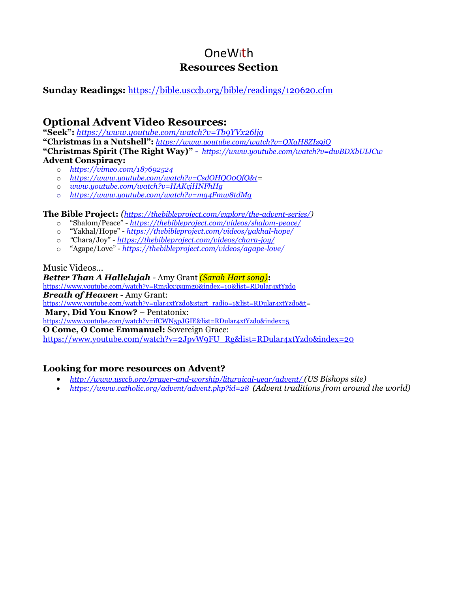# OneWith **Resources Section**

#### **Sunday Readings:** <https://bible.usccb.org/bible/readings/120620.cfm>

## **Optional Advent Video Resources:**

**"Seek":** *<https://www.youtube.com/watch?v=Tb9YVx26ljg>*

**"Christmas in a Nutshell":** *<https://www.youtube.com/watch?v=QXgH8ZIz9jQ>* **"Christmas Spirit (The Right Way)"** *- <https://www.youtube.com/watch?v=dwBDXbUIJCw>* **Advent Conspiracy:**

- o *<https://vimeo.com/187692524>*
- o *[https://www.youtube.com/watch?v=CsdOHQO0QfQ&t=](https://www.youtube.com/watch?v=CsdOHQO0QfQ&t)*
- o *[www.youtube.com/watch?v=HAKcjHNFhHg](http://www.youtube.com/watch?v=HAKcjHNFhHg)*
- o *<https://www.youtube.com/watch?v=mg4Fmw8tdMg>*

**The Bible Project:** *([https://thebibleproject.com/explore/the-advent-series/\)](https://thebibleproject.com/explore/the-advent-series/)*

- o "Shalom/Peace" *<https://thebibleproject.com/videos/shalom-peace/>*
- o "Yakhal/Hope" *<https://thebibleproject.com/videos/yakhal-hope/>*
- o *"*Chara/Joy" *<https://thebibleproject.com/videos/chara-joy/>*
- o "Agape/Love" *<https://thebibleproject.com/videos/agape-love/>*

#### Music Videos…

*Better Than A Hallelujah -* Amy Grant *(Sarah Hart song)***:** <https://www.youtube.com/watch?v=Rm5kx3xqmg0&index=10&list=RDular4xtYzdo> *Breath of Heaven -* Amy Grant:

[https://www.youtube.com/watch?v=ular4xtYzdo&start\\_radio=1&list=RDular4xtYzdo&t=](https://www.youtube.com/watch?v=ular4xtYzdo&start_radio=1&list=RDular4xtYzdo&t)

**Mary, Did You Know?** – Pentatonix:

<https://www.youtube.com/watch?v=ifCWN5pJGIE&list=RDular4xtYzdo&index=5>

**O Come, O Come Emmanuel:** Sovereign Grace:

[https://www.youtube.com/watch?v=2JpvW9FU\\_Rg&list=RDular4xtYzdo&index=20](https://www.youtube.com/watch?v=2JpvW9FU_Rg&list=RDular4xtYzdo&index=20)

#### **Looking for more resources on Advent?**

- *<http://www.usccb.org/prayer-and-worship/liturgical-year/advent/> (US Bishops site)*
- *<https://www.catholic.org/advent/advent.php?id=28>(Advent traditions from around the world)*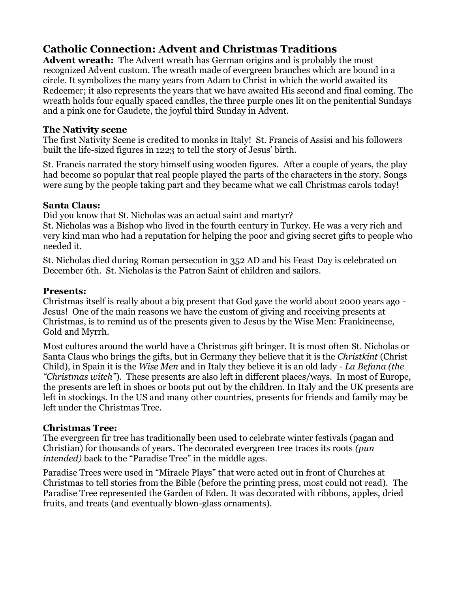# **Catholic Connection: Advent and Christmas Traditions**

**Advent wreath:** The Advent wreath has German origins and is probably the most recognized Advent custom. The wreath made of evergreen branches which are bound in a circle. It symbolizes the many years from Adam to Christ in which the world awaited its Redeemer; it also represents the years that we have awaited His second and final coming. The wreath holds four equally spaced candles, the three purple ones lit on the penitential Sundays and a pink one for Gaudete, the joyful third Sunday in Advent.

#### **The Nativity scene**

The first Nativity Scene is credited to monks in Italy! St. Francis of Assisi and his followers built the life-sized figures in 1223 to tell the story of Jesus' birth.

St. Francis narrated the story himself using wooden figures. After a couple of years, the play had become so popular that real people played the parts of the characters in the story. Songs were sung by the people taking part and they became what we call Christmas carols today!

#### **Santa Claus:**

Did you know that St. Nicholas was an actual saint and martyr?

St. Nicholas was a Bishop who lived in the fourth century in Turkey. He was a very rich and very kind man who had a reputation for helping the poor and giving secret gifts to people who needed it.

St. Nicholas died during Roman persecution in 352 AD and his Feast Day is celebrated on December 6th. St. Nicholas is the Patron Saint of children and sailors.

#### **Presents:**

Christmas itself is really about a big present that God gave the world about 2000 years ago - Jesus! One of the main reasons we have the custom of giving and receiving presents at Christmas, is to remind us of the presents given to Jesus by the Wise Men: Frankincense, Gold and Myrrh.

Most cultures around the world have a Christmas gift bringer. It is most often St. Nicholas or Santa Claus who brings the gifts, but in Germany they believe that it is the *Christkint* (Christ Child), in Spain it is the *Wise Men* and in Italy they believe it is an old lady - *La Befana (the "Christmas witch"*). These presents are also left in different places/ways. In most of Europe, the presents are left in shoes or boots put out by the children. In Italy and the UK presents are left in stockings. In the US and many other countries, presents for friends and family may be left under the Christmas Tree.

#### **Christmas Tree:**

The evergreen fir tree has traditionally been used to celebrate winter festivals (pagan and Christian) for thousands of years. The decorated evergreen tree traces its roots *(pun intended)* back to the "Paradise Tree" in the middle ages.

Paradise Trees were used in "Miracle Plays" that were acted out in front of Churches at Christmas to tell stories from the Bible (before the printing press, most could not read). The Paradise Tree represented the Garden of Eden. It was decorated with ribbons, apples, dried fruits, and treats (and eventually blown-glass ornaments).